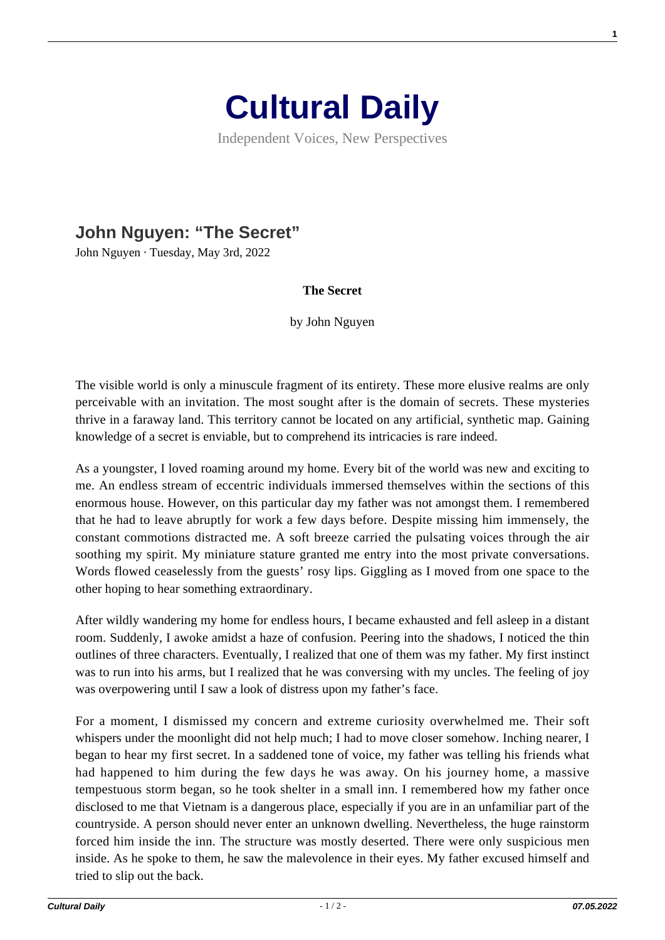

Independent Voices, New Perspectives

## **[John Nguyen: "The Secret"](https://culturaldaily.com/john-nguyen-the-secret/)**

John Nguyen · Tuesday, May 3rd, 2022

## **The Secret**

by John Nguyen

The visible world is only a minuscule fragment of its entirety. These more elusive realms are only perceivable with an invitation. The most sought after is the domain of secrets. These mysteries thrive in a faraway land. This territory cannot be located on any artificial, synthetic map. Gaining knowledge of a secret is enviable, but to comprehend its intricacies is rare indeed.

As a youngster, I loved roaming around my home. Every bit of the world was new and exciting to me. An endless stream of eccentric individuals immersed themselves within the sections of this enormous house. However, on this particular day my father was not amongst them. I remembered that he had to leave abruptly for work a few days before. Despite missing him immensely, the constant commotions distracted me. A soft breeze carried the pulsating voices through the air soothing my spirit. My miniature stature granted me entry into the most private conversations. Words flowed ceaselessly from the guests' rosy lips. Giggling as I moved from one space to the other hoping to hear something extraordinary.

After wildly wandering my home for endless hours, I became exhausted and fell asleep in a distant room. Suddenly, I awoke amidst a haze of confusion. Peering into the shadows, I noticed the thin outlines of three characters. Eventually, I realized that one of them was my father. My first instinct was to run into his arms, but I realized that he was conversing with my uncles. The feeling of joy was overpowering until I saw a look of distress upon my father's face.

For a moment, I dismissed my concern and extreme curiosity overwhelmed me. Their soft whispers under the moonlight did not help much; I had to move closer somehow. Inching nearer, I began to hear my first secret. In a saddened tone of voice, my father was telling his friends what had happened to him during the few days he was away. On his journey home, a massive tempestuous storm began, so he took shelter in a small inn. I remembered how my father once disclosed to me that Vietnam is a dangerous place, especially if you are in an unfamiliar part of the countryside. A person should never enter an unknown dwelling. Nevertheless, the huge rainstorm forced him inside the inn. The structure was mostly deserted. There were only suspicious men inside. As he spoke to them, he saw the malevolence in their eyes. My father excused himself and tried to slip out the back.

**1**